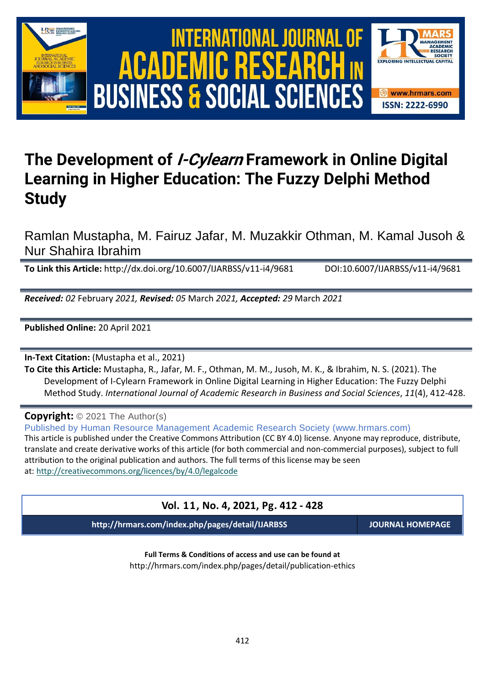





# **The Development of I-Cylearn Framework in Online Digital Learning in Higher Education: The Fuzzy Delphi Method Study**

Ramlan Mustapha, M. Fairuz Jafar, M. Muzakkir Othman, M. Kamal Jusoh & Nur Shahira Ibrahim

**To Link this Article:** http://dx.doi.org/10.6007/IJARBSS/v11-i4/9681 DOI:10.6007/IJARBSS/v11-i4/9681

*Received: 02* February *2021, Revised: 05* March *2021, Accepted: 29* March *2021*

**Published Online:** 20 April 2021

**In-Text Citation:** (Mustapha et al., 2021)

**To Cite this Article:** Mustapha, R., Jafar, M. F., Othman, M. M., Jusoh, M. K., & Ibrahim, N. S. (2021). The Development of I-Cylearn Framework in Online Digital Learning in Higher Education: The Fuzzy Delphi Method Study. *International Journal of Academic Research in Business and Social Sciences*, *11*(4), 412-428.

**Copyright:** © 2021 The Author(s)

Published by Human Resource Management Academic Research Society (www.hrmars.com) This article is published under the Creative Commons Attribution (CC BY 4.0) license. Anyone may reproduce, distribute, translate and create derivative works of this article (for both commercial and non-commercial purposes), subject to full attribution to the original publication and authors. The full terms of this license may be seen at: <http://creativecommons.org/licences/by/4.0/legalcode>

# **Vol. 11, No. 4, 2021, Pg. 412 - 428**

**http://hrmars.com/index.php/pages/detail/IJARBSS JOURNAL HOMEPAGE**

**Full Terms & Conditions of access and use can be found at** http://hrmars.com/index.php/pages/detail/publication-ethics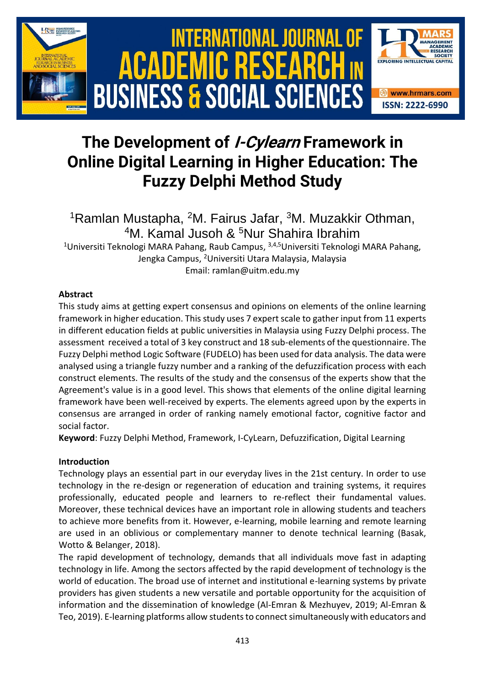

# **The Development of I-Cylearn Framework in Online Digital Learning in Higher Education: The Fuzzy Delphi Method Study**

<sup>1</sup>Ramlan Mustapha, <sup>2</sup>M. Fairus Jafar, <sup>3</sup>M. Muzakkir Othman, <sup>4</sup>M. Kamal Jusoh & <sup>5</sup>Nur Shahira Ibrahim <sup>1</sup>Universiti Teknologi MARA Pahang, Raub Campus, <sup>3,4,5</sup>Universiti Teknologi MARA Pahang,

Jengka Campus, <sup>2</sup>Universiti Utara Malaysia, Malaysia Email: ramlan@uitm.edu.my

# **Abstract**

This study aims at getting expert consensus and opinions on elements of the online learning framework in higher education. This study uses 7 expert scale to gather input from 11 experts in different education fields at public universities in Malaysia using Fuzzy Delphi process. The assessment received a total of 3 key construct and 18 sub-elements of the questionnaire. The Fuzzy Delphi method Logic Software (FUDELO) has been used for data analysis. The data were analysed using a triangle fuzzy number and a ranking of the defuzzification process with each construct elements. The results of the study and the consensus of the experts show that the Agreement's value is in a good level. This shows that elements of the online digital learning framework have been well-received by experts. The elements agreed upon by the experts in consensus are arranged in order of ranking namely emotional factor, cognitive factor and social factor.

**Keyword**: Fuzzy Delphi Method, Framework, I-CyLearn, Defuzzification, Digital Learning

# **Introduction**

Technology plays an essential part in our everyday lives in the 21st century. In order to use technology in the re-design or regeneration of education and training systems, it requires professionally, educated people and learners to re-reflect their fundamental values. Moreover, these technical devices have an important role in allowing students and teachers to achieve more benefits from it. However, e-learning, mobile learning and remote learning are used in an oblivious or complementary manner to denote technical learning (Basak, Wotto & Belanger, 2018).

The rapid development of technology, demands that all individuals move fast in adapting technology in life. Among the sectors affected by the rapid development of technology is the world of education. The broad use of internet and institutional e-learning systems by private providers has given students a new versatile and portable opportunity for the acquisition of information and the dissemination of knowledge (Al-Emran & Mezhuyev, 2019; Al-Emran & Teo, 2019). E-learning platforms allow students to connect simultaneously with educators and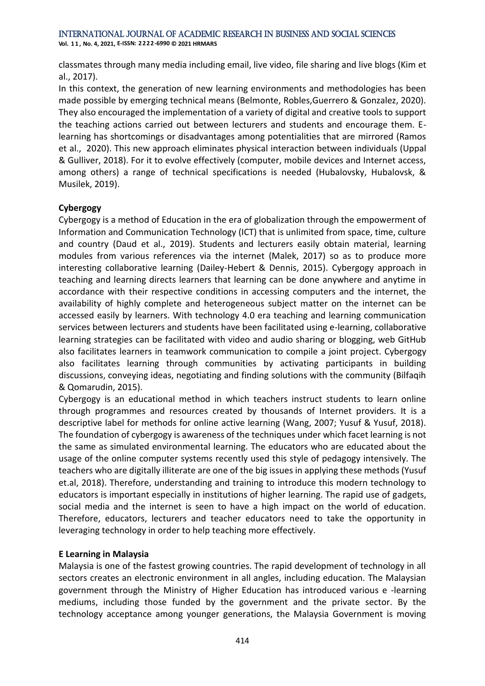**Vol. 1 1 , No. 4, 2021, E-ISSN: 2222-6990 © 2021 HRMARS**

classmates through many media including email, live video, file sharing and live blogs (Kim et al., 2017).

In this context, the generation of new learning environments and methodologies has been made possible by emerging technical means (Belmonte, Robles,Guerrero & Gonzalez, 2020). They also encouraged the implementation of a variety of digital and creative tools to support the teaching actions carried out between lecturers and students and encourage them. Elearning has shortcomings or disadvantages among potentialities that are mirrored (Ramos et al., 2020). This new approach eliminates physical interaction between individuals (Uppal & Gulliver, 2018). For it to evolve effectively (computer, mobile devices and Internet access, among others) a range of technical specifications is needed (Hubalovsky, Hubalovsk, & Musilek, 2019).

### **Cybergogy**

Cybergogy is a method of Education in the era of globalization through the empowerment of Information and Communication Technology (ICT) that is unlimited from space, time, culture and country (Daud et al., 2019). Students and lecturers easily obtain material, learning modules from various references via the internet (Malek, 2017) so as to produce more interesting collaborative learning (Dailey-Hebert & Dennis, 2015). Cybergogy approach in teaching and learning directs learners that learning can be done anywhere and anytime in accordance with their respective conditions in accessing computers and the internet, the availability of highly complete and heterogeneous subject matter on the internet can be accessed easily by learners. With technology 4.0 era teaching and learning communication services between lecturers and students have been facilitated using e-learning, collaborative learning strategies can be facilitated with video and audio sharing or blogging, web GitHub also facilitates learners in teamwork communication to compile a joint project. Cybergogy also facilitates learning through communities by activating participants in building discussions, conveying ideas, negotiating and finding solutions with the community (Bilfaqih & Qomarudin, 2015).

Cybergogy is an educational method in which teachers instruct students to learn online through programmes and resources created by thousands of Internet providers. It is a descriptive label for methods for online active learning (Wang, 2007; Yusuf & Yusuf, 2018). The foundation of cybergogy is awareness of the techniques under which facet learning is not the same as simulated environmental learning. The educators who are educated about the usage of the online computer systems recently used this style of pedagogy intensively. The teachers who are digitally illiterate are one of the big issues in applying these methods (Yusuf et.al, 2018). Therefore, understanding and training to introduce this modern technology to educators is important especially in institutions of higher learning. The rapid use of gadgets, social media and the internet is seen to have a high impact on the world of education. Therefore, educators, lecturers and teacher educators need to take the opportunity in leveraging technology in order to help teaching more effectively.

# **E Learning in Malaysia**

Malaysia is one of the fastest growing countries. The rapid development of technology in all sectors creates an electronic environment in all angles, including education. The Malaysian government through the Ministry of Higher Education has introduced various e -learning mediums, including those funded by the government and the private sector. By the technology acceptance among younger generations, the Malaysia Government is moving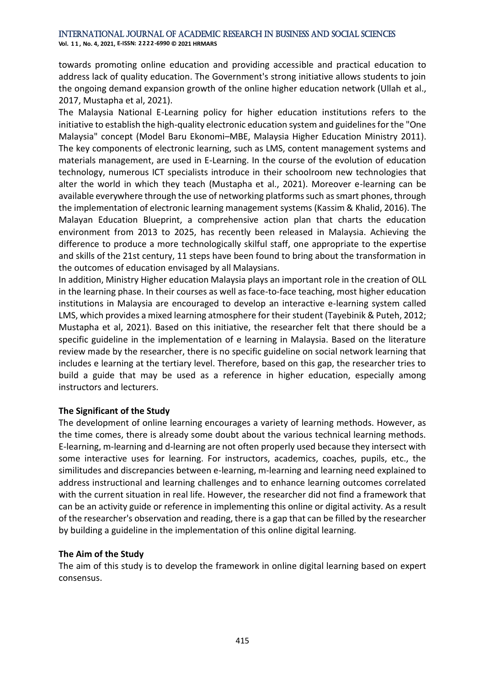**Vol. 1 1 , No. 4, 2021, E-ISSN: 2222-6990 © 2021 HRMARS**

towards promoting online education and providing accessible and practical education to address lack of quality education. The Government's strong initiative allows students to join the ongoing demand expansion growth of the online higher education network (Ullah et al., 2017, Mustapha et al, 2021).

The Malaysia National E-Learning policy for higher education institutions refers to the initiative to establish the high-quality electronic education system and guidelines for the "One Malaysia" concept (Model Baru Ekonomi–MBE, Malaysia Higher Education Ministry 2011). The key components of electronic learning, such as LMS, content management systems and materials management, are used in E-Learning. In the course of the evolution of education technology, numerous ICT specialists introduce in their schoolroom new technologies that alter the world in which they teach (Mustapha et al., 2021). Moreover e-learning can be available everywhere through the use of networking platforms such as smart phones, through the implementation of electronic learning management systems (Kassim & Khalid, 2016). The Malayan Education Blueprint, a comprehensive action plan that charts the education environment from 2013 to 2025, has recently been released in Malaysia. Achieving the difference to produce a more technologically skilful staff, one appropriate to the expertise and skills of the 21st century, 11 steps have been found to bring about the transformation in the outcomes of education envisaged by all Malaysians.

In addition, Ministry Higher education Malaysia plays an important role in the creation of OLL in the learning phase. In their courses as well as face-to-face teaching, most higher education institutions in Malaysia are encouraged to develop an interactive e-learning system called LMS, which provides a mixed learning atmosphere for their student (Tayebinik & Puteh, 2012; Mustapha et al, 2021). Based on this initiative, the researcher felt that there should be a specific guideline in the implementation of e learning in Malaysia. Based on the literature review made by the researcher, there is no specific guideline on social network learning that includes e learning at the tertiary level. Therefore, based on this gap, the researcher tries to build a guide that may be used as a reference in higher education, especially among instructors and lecturers.

### **The Significant of the Study**

The development of online learning encourages a variety of learning methods. However, as the time comes, there is already some doubt about the various technical learning methods. E-learning, m-learning and d-learning are not often properly used because they intersect with some interactive uses for learning. For instructors, academics, coaches, pupils, etc., the similitudes and discrepancies between e-learning, m-learning and learning need explained to address instructional and learning challenges and to enhance learning outcomes correlated with the current situation in real life. However, the researcher did not find a framework that can be an activity guide or reference in implementing this online or digital activity. As a result of the researcher's observation and reading, there is a gap that can be filled by the researcher by building a guideline in the implementation of this online digital learning.

### **The Aim of the Study**

The aim of this study is to develop the framework in online digital learning based on expert consensus.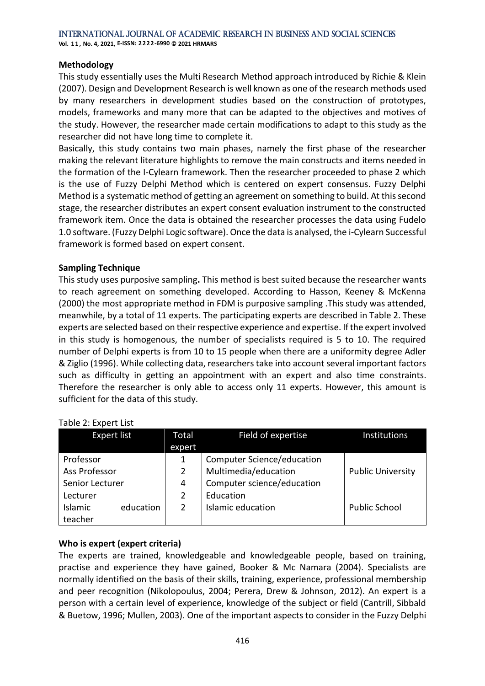**Vol. 1 1 , No. 4, 2021, E-ISSN: 2222-6990 © 2021 HRMARS**

### **Methodology**

This study essentially uses the Multi Research Method approach introduced by Richie & Klein (2007). Design and Development Research is well known as one of the research methods used by many researchers in development studies based on the construction of prototypes, models, frameworks and many more that can be adapted to the objectives and motives of the study. However, the researcher made certain modifications to adapt to this study as the researcher did not have long time to complete it.

Basically, this study contains two main phases, namely the first phase of the researcher making the relevant literature highlights to remove the main constructs and items needed in the formation of the I-Cylearn framework. Then the researcher proceeded to phase 2 which is the use of Fuzzy Delphi Method which is centered on expert consensus. Fuzzy Delphi Method is a systematic method of getting an agreement on something to build. At this second stage, the researcher distributes an expert consent evaluation instrument to the constructed framework item. Once the data is obtained the researcher processes the data using Fudelo 1.0 software. (Fuzzy Delphi Logic software). Once the data is analysed, the i-Cylearn Successful framework is formed based on expert consent.

### **Sampling Technique**

This study uses purposive sampling**.** This method is best suited because the researcher wants to reach agreement on something developed. According to Hasson, Keeney & McKenna (2000) the most appropriate method in FDM is purposive sampling .This study was attended, meanwhile, by a total of 11 experts. The participating experts are described in Table 2. These experts are selected based on their respective experience and expertise. If the expert involved in this study is homogenous, the number of specialists required is 5 to 10. The required number of Delphi experts is from 10 to 15 people when there are a uniformity degree Adler & Ziglio (1996). While collecting data, researchers take into account several important factors such as difficulty in getting an appointment with an expert and also time constraints. Therefore the researcher is only able to access only 11 experts. However, this amount is sufficient for the data of this study.

| <b>Expert list</b> |           | Total  | Field of expertise         | <b>Institutions</b>      |
|--------------------|-----------|--------|----------------------------|--------------------------|
|                    |           | expert |                            |                          |
| Professor          |           | 1      | Computer Science/education |                          |
| Ass Professor      |           | 2      | Multimedia/education       | <b>Public University</b> |
| Senior Lecturer    |           | 4      | Computer science/education |                          |
| Lecturer           |           | 2      | Education                  |                          |
| <b>Islamic</b>     | education | 2      | Islamic education          | <b>Public School</b>     |
| teacher            |           |        |                            |                          |

### Table 2: Expert List

# **Who is expert (expert criteria)**

The experts are trained, knowledgeable and knowledgeable people, based on training, practise and experience they have gained, Booker & Mc Namara (2004). Specialists are normally identified on the basis of their skills, training, experience, professional membership and peer recognition (Nikolopoulus, 2004; Perera, Drew & Johnson, 2012). An expert is a person with a certain level of experience, knowledge of the subject or field (Cantrill, Sibbald & Buetow, 1996; Mullen, 2003). One of the important aspects to consider in the Fuzzy Delphi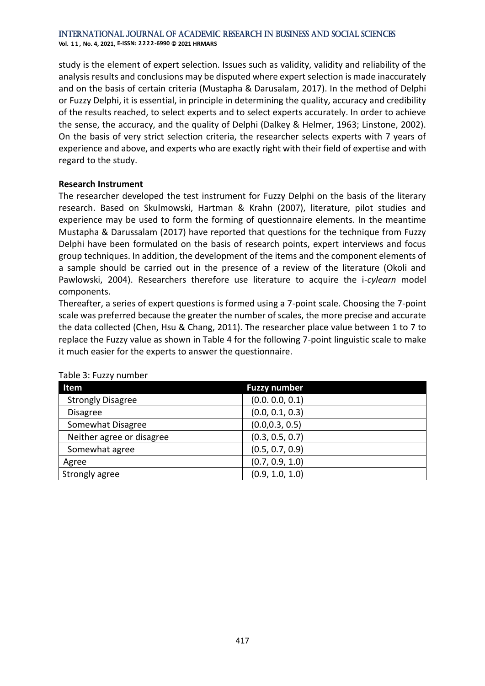**Vol. 1 1 , No. 4, 2021, E-ISSN: 2222-6990 © 2021 HRMARS**

study is the element of expert selection. Issues such as validity, validity and reliability of the analysis results and conclusions may be disputed where expert selection is made inaccurately and on the basis of certain criteria (Mustapha & Darusalam, 2017). In the method of Delphi or Fuzzy Delphi, it is essential, in principle in determining the quality, accuracy and credibility of the results reached, to select experts and to select experts accurately. In order to achieve the sense, the accuracy, and the quality of Delphi (Dalkey & Helmer, 1963; Linstone, 2002). On the basis of very strict selection criteria, the researcher selects experts with 7 years of experience and above, and experts who are exactly right with their field of expertise and with regard to the study.

### **Research Instrument**

The researcher developed the test instrument for Fuzzy Delphi on the basis of the literary research. Based on Skulmowski, Hartman & Krahn (2007), literature, pilot studies and experience may be used to form the forming of questionnaire elements. In the meantime Mustapha & Darussalam (2017) have reported that questions for the technique from Fuzzy Delphi have been formulated on the basis of research points, expert interviews and focus group techniques. In addition, the development of the items and the component elements of a sample should be carried out in the presence of a review of the literature (Okoli and Pawlowski, 2004). Researchers therefore use literature to acquire the i*-cylearn* model components.

Thereafter, a series of expert questions is formed using a 7-point scale. Choosing the 7-point scale was preferred because the greater the number of scales, the more precise and accurate the data collected (Chen, Hsu & Chang, 2011). The researcher place value between 1 to 7 to replace the Fuzzy value as shown in Table 4 for the following 7-point linguistic scale to make it much easier for the experts to answer the questionnaire.

| Item                      | <b>Fuzzy number</b> |
|---------------------------|---------------------|
| <b>Strongly Disagree</b>  | (0.0.0.0, 0.1)      |
| <b>Disagree</b>           | (0.0, 0.1, 0.3)     |
| Somewhat Disagree         | (0.0, 0.3, 0.5)     |
| Neither agree or disagree | (0.3, 0.5, 0.7)     |
| Somewhat agree            | (0.5, 0.7, 0.9)     |
| Agree                     | (0.7, 0.9, 1.0)     |
| Strongly agree            | (0.9, 1.0, 1.0)     |

### Table 3: Fuzzy number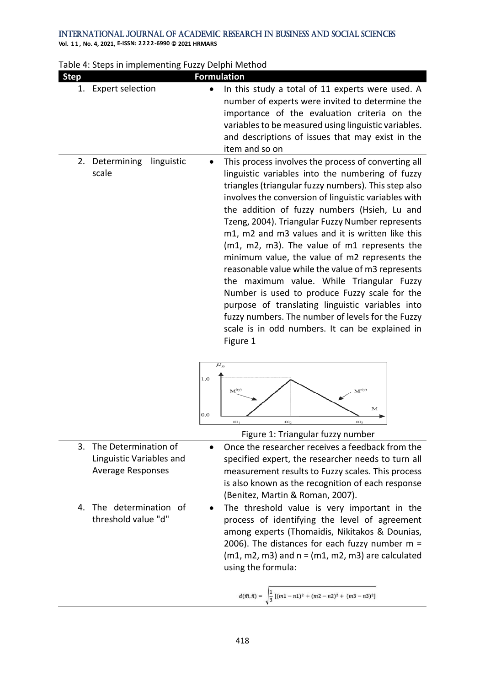| <b>Step</b> |                                                      | <b>Formulation</b>                                                                                                                                                                                                                                                                                                                                                                                                                                                                                                                                                                                                                                                                                                                                                                                                                                                                                                                                     |
|-------------|------------------------------------------------------|--------------------------------------------------------------------------------------------------------------------------------------------------------------------------------------------------------------------------------------------------------------------------------------------------------------------------------------------------------------------------------------------------------------------------------------------------------------------------------------------------------------------------------------------------------------------------------------------------------------------------------------------------------------------------------------------------------------------------------------------------------------------------------------------------------------------------------------------------------------------------------------------------------------------------------------------------------|
| 1.          | <b>Expert selection</b>                              | In this study a total of 11 experts were used. A<br>number of experts were invited to determine the<br>importance of the evaluation criteria on the<br>variables to be measured using linguistic variables.<br>and descriptions of issues that may exist in the<br>item and so on                                                                                                                                                                                                                                                                                                                                                                                                                                                                                                                                                                                                                                                                      |
|             | linguistic<br>2. Determining<br>scale                | This process involves the process of converting all<br>$\bullet$<br>linguistic variables into the numbering of fuzzy<br>triangles (triangular fuzzy numbers). This step also<br>involves the conversion of linguistic variables with<br>the addition of fuzzy numbers (Hsieh, Lu and<br>Tzeng, 2004). Triangular Fuzzy Number represents<br>m1, m2 and m3 values and it is written like this<br>(m1, m2, m3). The value of m1 represents the<br>minimum value, the value of m2 represents the<br>reasonable value while the value of m3 represents<br>the maximum value. While Triangular Fuzzy<br>Number is used to produce Fuzzy scale for the<br>purpose of translating linguistic variables into<br>fuzzy numbers. The number of levels for the Fuzzy<br>scale is in odd numbers. It can be explained in<br>Figure 1<br>$\mu_{_{\bar{H}}}$<br>1.0<br>$M^{(0)}$<br>м<br>0.0<br>m <sub>2</sub><br>$m_{1}$<br>m,<br>Figure 1: Triangular fuzzy number |
| 3.          | The Determination of                                 | Once the researcher receives a feedback from the                                                                                                                                                                                                                                                                                                                                                                                                                                                                                                                                                                                                                                                                                                                                                                                                                                                                                                       |
|             | Linguistic Variables and<br><b>Average Responses</b> | specified expert, the researcher needs to turn all<br>measurement results to Fuzzy scales. This process<br>is also known as the recognition of each response<br>(Benitez, Martin & Roman, 2007).                                                                                                                                                                                                                                                                                                                                                                                                                                                                                                                                                                                                                                                                                                                                                       |
| 4.          | The determination of<br>threshold value "d"          | The threshold value is very important in the<br>process of identifying the level of agreement<br>among experts (Thomaidis, Nikitakos & Dounias,<br>2006). The distances for each fuzzy number $m =$<br>$(m1, m2, m3)$ and $n = (m1, m2, m3)$ are calculated<br>using the formula:<br>$d(\bar{m},\bar{n})=\sqrt{\frac{1}{3}\left[(m1-n1)^2+(m2-n2)^2+(m3-n3)^2\right]}$                                                                                                                                                                                                                                                                                                                                                                                                                                                                                                                                                                                 |

| Table 4: Steps in implementing Fuzzy Delphi Method |  |  |  |
|----------------------------------------------------|--|--|--|
|----------------------------------------------------|--|--|--|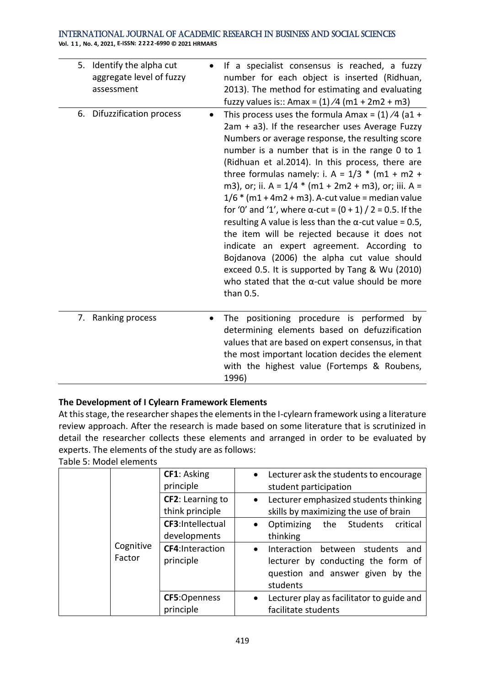**Vol. 1 1 , No. 4, 2021, E-ISSN: 2222-6990 © 2021 HRMARS**

| 5. Identify the alpha cut<br>aggregate level of fuzzy<br>assessment<br>6. Difuzzification process | $\bullet$ | If a specialist consensus is reached, a fuzzy<br>number for each object is inserted (Ridhuan,<br>2013). The method for estimating and evaluating<br>fuzzy values is:: Amax = $(1)/4$ (m1 + 2m2 + m3)<br>This process uses the formula Amax = $(1)/4$ (a1 +                                                                                                                                                                                                                                                                                                                                                                                                                                                                                                                             |
|---------------------------------------------------------------------------------------------------|-----------|----------------------------------------------------------------------------------------------------------------------------------------------------------------------------------------------------------------------------------------------------------------------------------------------------------------------------------------------------------------------------------------------------------------------------------------------------------------------------------------------------------------------------------------------------------------------------------------------------------------------------------------------------------------------------------------------------------------------------------------------------------------------------------------|
|                                                                                                   |           | 2am + a3). If the researcher uses Average Fuzzy<br>Numbers or average response, the resulting score<br>number is a number that is in the range 0 to 1<br>(Ridhuan et al.2014). In this process, there are<br>three formulas namely: i. A = $1/3$ * (m1 + m2 +<br>m3), or; ii. A = $1/4$ * (m1 + 2m2 + m3), or; iii. A =<br>$1/6$ * (m1 + 4m2 + m3). A-cut value = median value<br>for '0' and '1', where α-cut = $(0 + 1) / 2 = 0.5$ . If the<br>resulting A value is less than the $\alpha$ -cut value = 0.5,<br>the item will be rejected because it does not<br>indicate an expert agreement. According to<br>Bojdanova (2006) the alpha cut value should<br>exceed 0.5. It is supported by Tang & Wu (2010)<br>who stated that the $\alpha$ -cut value should be more<br>than 0.5. |
| 7. Ranking process                                                                                |           | The positioning procedure is performed by<br>determining elements based on defuzzification<br>values that are based on expert consensus, in that<br>the most important location decides the element<br>with the highest value (Fortemps & Roubens,<br>1996)                                                                                                                                                                                                                                                                                                                                                                                                                                                                                                                            |

# **The Development of I Cylearn Framework Elements**

At this stage, the researcher shapes the elements in the I-cylearn framework using a literature review approach. After the research is made based on some literature that is scrutinized in detail the researcher collects these elements and arranged in order to be evaluated by experts. The elements of the study are as follows:

|                     | CF1: Asking<br>principle            | Lecturer ask the students to encourage<br>$\bullet$<br>student participation                                                                 |
|---------------------|-------------------------------------|----------------------------------------------------------------------------------------------------------------------------------------------|
|                     | CF2: Learning to<br>think principle | Lecturer emphasized students thinking<br>$\bullet$<br>skills by maximizing the use of brain                                                  |
|                     | CF3:Intellectual<br>developments    | Optimizing<br>the Students<br>critical<br>$\bullet$<br>thinking                                                                              |
| Cognitive<br>Factor | <b>CF4:Interaction</b><br>principle | Interaction<br>between<br>students<br>and<br>$\bullet$<br>lecturer by conducting the form of<br>question and answer given by the<br>students |
|                     | CF5:Openness<br>principle           | Lecturer play as facilitator to guide and<br>facilitate students                                                                             |

Table 5: Model elements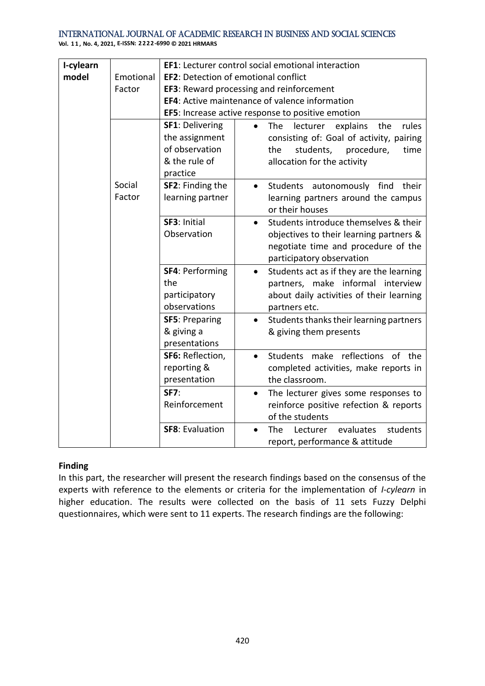**Vol. 1 1 , No. 4, 2021, E-ISSN: 2222-6990 © 2021 HRMARS**

| I-cylearn |                  |                                                                                         | EF1: Lecturer control social emotional interaction                                                                                                                |  |  |  |  |  |  |
|-----------|------------------|-----------------------------------------------------------------------------------------|-------------------------------------------------------------------------------------------------------------------------------------------------------------------|--|--|--|--|--|--|
| model     | Emotional        | <b>EF2: Detection of emotional conflict</b>                                             |                                                                                                                                                                   |  |  |  |  |  |  |
|           | Factor           | EF3: Reward processing and reinforcement                                                |                                                                                                                                                                   |  |  |  |  |  |  |
|           |                  |                                                                                         | <b>EF4: Active maintenance of valence information</b>                                                                                                             |  |  |  |  |  |  |
|           |                  |                                                                                         | EF5: Increase active response to positive emotion                                                                                                                 |  |  |  |  |  |  |
|           |                  | <b>SF1: Delivering</b><br>the assignment<br>of observation<br>& the rule of<br>practice | rules<br>The<br>lecturer explains<br>the<br>consisting of: Goal of activity, pairing<br>students,<br>procedure,<br>the<br>time<br>allocation for the activity     |  |  |  |  |  |  |
|           | Social<br>Factor | SF2: Finding the<br>learning partner                                                    | Students autonomously find<br>their<br>$\bullet$<br>learning partners around the campus<br>or their houses                                                        |  |  |  |  |  |  |
|           |                  | SF3: Initial<br>Observation                                                             | Students introduce themselves & their<br>$\bullet$<br>objectives to their learning partners &<br>negotiate time and procedure of the<br>participatory observation |  |  |  |  |  |  |
|           |                  | <b>SF4: Performing</b><br>the<br>participatory<br>observations                          | Students act as if they are the learning<br>$\bullet$<br>partners, make informal interview<br>about daily activities of their learning<br>partners etc.           |  |  |  |  |  |  |
|           |                  | <b>SF5: Preparing</b><br>& giving a<br>presentations                                    | Students thanks their learning partners<br>$\bullet$<br>& giving them presents                                                                                    |  |  |  |  |  |  |
|           |                  | SF6: Reflection,<br>reporting &<br>presentation                                         | Students make reflections of the<br>$\bullet$<br>completed activities, make reports in<br>the classroom.                                                          |  |  |  |  |  |  |
|           |                  | <b>SF7:</b><br>Reinforcement                                                            | The lecturer gives some responses to<br>$\bullet$<br>reinforce positive refection & reports<br>of the students                                                    |  |  |  |  |  |  |
|           |                  | <b>SF8: Evaluation</b>                                                                  | evaluates<br>students<br>The<br>Lecturer<br>$\bullet$<br>report, performance & attitude                                                                           |  |  |  |  |  |  |

### **Finding**

In this part, the researcher will present the research findings based on the consensus of the experts with reference to the elements or criteria for the implementation of *I-cylearn* in higher education. The results were collected on the basis of 11 sets Fuzzy Delphi questionnaires, which were sent to 11 experts. The research findings are the following: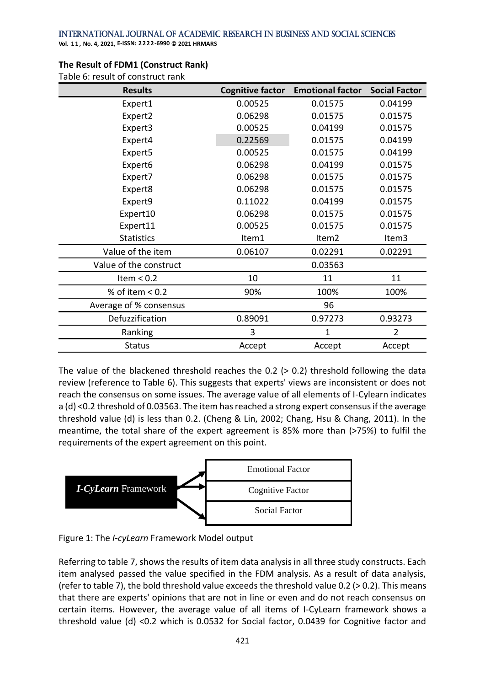**Vol. 1 1 , No. 4, 2021, E-ISSN: 2222-6990 © 2021 HRMARS**

| <b>Results</b>         | <b>Cognitive factor</b> | <b>Emotional factor</b> | <b>Social Factor</b> |
|------------------------|-------------------------|-------------------------|----------------------|
| Expert1                | 0.00525                 | 0.01575                 | 0.04199              |
| Expert2                | 0.06298                 | 0.01575                 | 0.01575              |
| Expert3                | 0.00525                 | 0.04199                 | 0.01575              |
| Expert4                | 0.22569                 | 0.01575                 | 0.04199              |
| Expert5                | 0.00525                 | 0.01575                 | 0.04199              |
| Expert6                | 0.06298                 | 0.04199                 | 0.01575              |
| Expert7                | 0.06298                 | 0.01575                 | 0.01575              |
| Expert8                | 0.06298                 | 0.01575                 | 0.01575              |
| Expert9                | 0.11022                 | 0.04199                 | 0.01575              |
| Expert10               | 0.06298                 | 0.01575                 | 0.01575              |
| Expert11               | 0.00525                 | 0.01575                 | 0.01575              |
| <b>Statistics</b>      | Item1                   | Item2                   | Item3                |
| Value of the item      | 0.06107                 | 0.02291                 | 0.02291              |
| Value of the construct |                         | 0.03563                 |                      |
| Item $< 0.2$           | 10                      | 11                      | 11                   |
| % of item $< 0.2$      | 90%<br>100%             |                         | 100%                 |
| Average of % consensus |                         | 96                      |                      |
| Defuzzification        | 0.89091                 | 0.97273                 | 0.93273              |
| Ranking                | 3                       | $\mathbf 1$             | $\overline{2}$       |
| <b>Status</b>          | Accept                  | Accept                  | Accept               |

### **The Result of FDM1 (Construct Rank)**

Table 6: result of construct rank

The value of the blackened threshold reaches the 0.2 (> 0.2) threshold following the data review (reference to Table 6). This suggests that experts' views are inconsistent or does not reach the consensus on some issues. The average value of all elements of I-Cylearn indicates a (d) <0.2 threshold of 0.03563. The item has reached a strong expert consensus if the average threshold value (d) is less than 0.2. (Cheng & Lin, 2002; Chang, Hsu & Chang, 2011). In the meantime, the total share of the expert agreement is 85% more than (>75%) to fulfil the requirements of the expert agreement on this point.



Figure 1: The *I-cyLearn* Framework Model output

Referring to table 7, shows the results of item data analysis in all three study constructs. Each item analysed passed the value specified in the FDM analysis. As a result of data analysis, (refer to table 7), the bold threshold value exceeds the threshold value 0.2 (> 0.2). This means that there are experts' opinions that are not in line or even and do not reach consensus on certain items. However, the average value of all items of I-CyLearn framework shows a threshold value (d) <0.2 which is 0.0532 for Social factor, 0.0439 for Cognitive factor and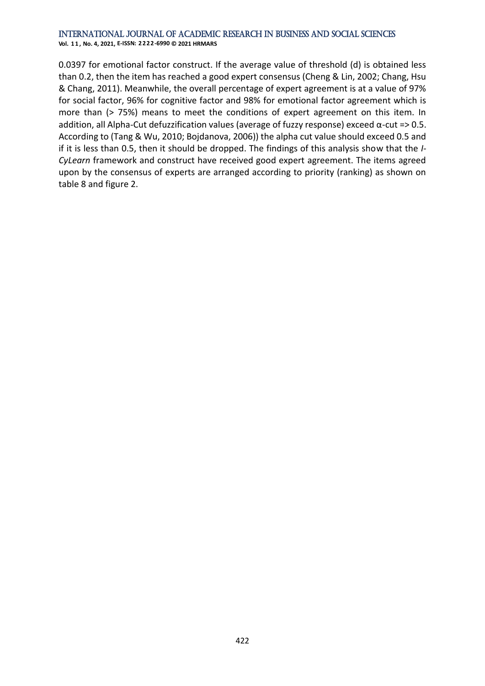**Vol. 1 1 , No. 4, 2021, E-ISSN: 2222-6990 © 2021 HRMARS**

0.0397 for emotional factor construct. If the average value of threshold (d) is obtained less than 0.2, then the item has reached a good expert consensus (Cheng & Lin, 2002; Chang, Hsu & Chang, 2011). Meanwhile, the overall percentage of expert agreement is at a value of 97% for social factor, 96% for cognitive factor and 98% for emotional factor agreement which is more than (> 75%) means to meet the conditions of expert agreement on this item. In addition, all Alpha-Cut defuzzification values (average of fuzzy response) exceed α-cut => 0.5. According to (Tang & Wu, 2010; Bojdanova, 2006)) the alpha cut value should exceed 0.5 and if it is less than 0.5, then it should be dropped. The findings of this analysis show that the *I-CyLearn* framework and construct have received good expert agreement. The items agreed upon by the consensus of experts are arranged according to priority (ranking) as shown on table 8 and figure 2.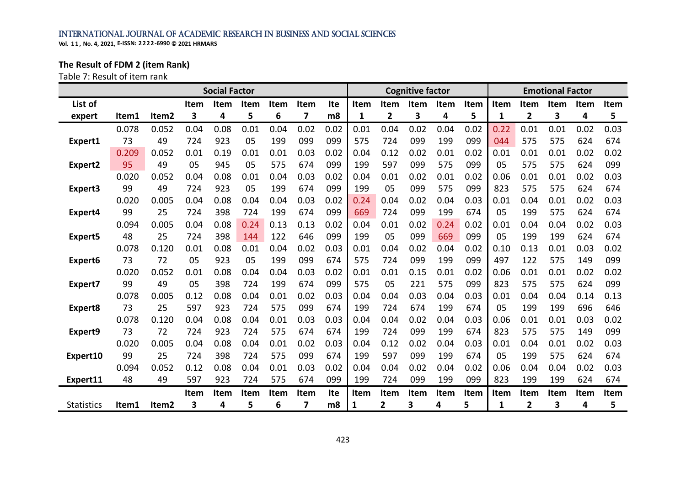**Vol. 1 1 , No. 4, 2021, E-ISSN: 2222-6990 © 2021 HRMARS**

# **The Result of FDM 2 (item Rank)**

Table 7: Result of item rank

| <b>Social Factor</b> |       |       |      |      |             | <b>Cognitive factor</b> |      |      |             |      | <b>Emotional Factor</b> |      |      |      |                |             |      |      |
|----------------------|-------|-------|------|------|-------------|-------------------------|------|------|-------------|------|-------------------------|------|------|------|----------------|-------------|------|------|
| List of              |       |       | Item | Item | <b>Item</b> | Item                    | Item | Ite  | Item        | Item | Item                    | Item | Item | Item | Item           | <b>Item</b> | Item | Item |
| expert               | ltem1 | Item2 | 3    | 4    | 5           | 6                       | 7    | m8   | 1           | 2    | 3                       | 4    | 5    | 1    | $\mathbf{2}$   | 3           | 4    | 5    |
|                      | 0.078 | 0.052 | 0.04 | 0.08 | 0.01        | 0.04                    | 0.02 | 0.02 | 0.01        | 0.04 | 0.02                    | 0.04 | 0.02 | 0.22 | 0.01           | 0.01        | 0.02 | 0.03 |
| Expert1              | 73    | 49    | 724  | 923  | 05          | 199                     | 099  | 099  | 575         | 724  | 099                     | 199  | 099  | 044  | 575            | 575         | 624  | 674  |
|                      | 0.209 | 0.052 | 0.01 | 0.19 | 0.01        | 0.01                    | 0.03 | 0.02 | 0.04        | 0.12 | 0.02                    | 0.01 | 0.02 | 0.01 | 0.01           | 0.01        | 0.02 | 0.02 |
| Expert <sub>2</sub>  | 95    | 49    | 05   | 945  | 05          | 575                     | 674  | 099  | 199         | 597  | 099                     | 575  | 099  | 05   | 575            | 575         | 624  | 099  |
|                      | 0.020 | 0.052 | 0.04 | 0.08 | 0.01        | 0.04                    | 0.03 | 0.02 | 0.04        | 0.01 | 0.02                    | 0.01 | 0.02 | 0.06 | 0.01           | 0.01        | 0.02 | 0.03 |
| Expert3              | 99    | 49    | 724  | 923  | 05          | 199                     | 674  | 099  | 199         | 05   | 099                     | 575  | 099  | 823  | 575            | 575         | 624  | 674  |
|                      | 0.020 | 0.005 | 0.04 | 0.08 | 0.04        | 0.04                    | 0.03 | 0.02 | 0.24        | 0.04 | 0.02                    | 0.04 | 0.03 | 0.01 | 0.04           | 0.01        | 0.02 | 0.03 |
| Expert4              | 99    | 25    | 724  | 398  | 724         | 199                     | 674  | 099  | 669         | 724  | 099                     | 199  | 674  | 05   | 199            | 575         | 624  | 674  |
|                      | 0.094 | 0.005 | 0.04 | 0.08 | 0.24        | 0.13                    | 0.13 | 0.02 | 0.04        | 0.01 | 0.02                    | 0.24 | 0.02 | 0.01 | 0.04           | 0.04        | 0.02 | 0.03 |
| Expert5              | 48    | 25    | 724  | 398  | 144         | 122                     | 646  | 099  | 199         | 05   | 099                     | 669  | 099  | 05   | 199            | 199         | 624  | 674  |
|                      | 0.078 | 0.120 | 0.01 | 0.08 | 0.01        | 0.04                    | 0.02 | 0.03 | 0.01        | 0.04 | 0.02                    | 0.04 | 0.02 | 0.10 | 0.13           | 0.01        | 0.03 | 0.02 |
| Expert6              | 73    | 72    | 05   | 923  | 05          | 199                     | 099  | 674  | 575         | 724  | 099                     | 199  | 099  | 497  | 122            | 575         | 149  | 099  |
|                      | 0.020 | 0.052 | 0.01 | 0.08 | 0.04        | 0.04                    | 0.03 | 0.02 | 0.01        | 0.01 | 0.15                    | 0.01 | 0.02 | 0.06 | 0.01           | 0.01        | 0.02 | 0.02 |
| Expert7              | 99    | 49    | 05   | 398  | 724         | 199                     | 674  | 099  | 575         | 05   | 221                     | 575  | 099  | 823  | 575            | 575         | 624  | 099  |
|                      | 0.078 | 0.005 | 0.12 | 0.08 | 0.04        | 0.01                    | 0.02 | 0.03 | 0.04        | 0.04 | 0.03                    | 0.04 | 0.03 | 0.01 | 0.04           | 0.04        | 0.14 | 0.13 |
| Expert8              | 73    | 25    | 597  | 923  | 724         | 575                     | 099  | 674  | 199         | 724  | 674                     | 199  | 674  | 05   | 199            | 199         | 696  | 646  |
|                      | 0.078 | 0.120 | 0.04 | 0.08 | 0.04        | 0.01                    | 0.03 | 0.03 | 0.04        | 0.04 | 0.02                    | 0.04 | 0.03 | 0.06 | 0.01           | 0.01        | 0.03 | 0.02 |
| Expert9              | 73    | 72    | 724  | 923  | 724         | 575                     | 674  | 674  | 199         | 724  | 099                     | 199  | 674  | 823  | 575            | 575         | 149  | 099  |
|                      | 0.020 | 0.005 | 0.04 | 0.08 | 0.04        | 0.01                    | 0.02 | 0.03 | 0.04        | 0.12 | 0.02                    | 0.04 | 0.03 | 0.01 | 0.04           | 0.01        | 0.02 | 0.03 |
| Expert10             | 99    | 25    | 724  | 398  | 724         | 575                     | 099  | 674  | 199         | 597  | 099                     | 199  | 674  | 05   | 199            | 575         | 624  | 674  |
|                      | 0.094 | 0.052 | 0.12 | 0.08 | 0.04        | 0.01                    | 0.03 | 0.02 | 0.04        | 0.04 | 0.02                    | 0.04 | 0.02 | 0.06 | 0.04           | 0.04        | 0.02 | 0.03 |
| Expert11             | 48    | 49    | 597  | 923  | 724         | 575                     | 674  | 099  | 199         | 724  | 099                     | 199  | 099  | 823  | 199            | 199         | 624  | 674  |
|                      |       |       | Item | Item | Item        | Item                    | Item | Ite  | <b>Item</b> | Item | Item                    | Item | Item | Item | Item           | Item        | Item | Item |
| <b>Statistics</b>    | ltem1 | Item2 | 3    | 4    | 5           | 6                       | 7    | m8   | 1           | 2    | 3                       | 4    | 5    | 1    | $\overline{2}$ | 3           | 4    | 5    |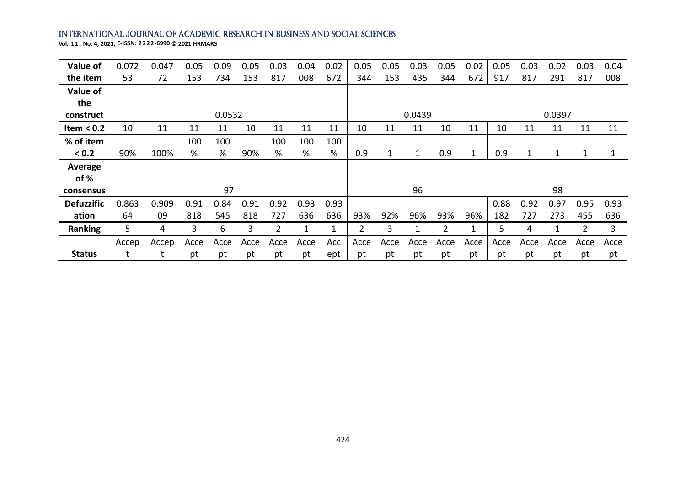| Value of          | 0.072 | 0.047 | 0.05 | 0.09   | 0.05 | 0.03 | 0.04 | 0.02 | 0.05 | 0.05 | 0.03   | 0.05 | 0.02 | 0.05 | 0.03         | 0.02   | 0.03 | 0.04 |
|-------------------|-------|-------|------|--------|------|------|------|------|------|------|--------|------|------|------|--------------|--------|------|------|
| the item          | 53    | 72    | 153  | 734    | 153  | 817  | 008  | 672  | 344  | 153  | 435    | 344  | 672  | 917  | 817          | 291    | 817  | 008  |
| Value of          |       |       |      |        |      |      |      |      |      |      |        |      |      |      |              |        |      |      |
| the               |       |       |      |        |      |      |      |      |      |      |        |      |      |      |              |        |      |      |
| construct         |       |       |      | 0.0532 |      |      |      |      |      |      | 0.0439 |      |      |      |              | 0.0397 |      |      |
| Item $< 0.2$      | 10    | 11    | 11   | 11     | 10   | 11   | 11   | 11   | 10   | 11   | 11     | 10   | 11   | 10   | 11           | 11     | 11   | 11   |
| % of item         |       |       | 100  | 100    |      | 100  | 100  | 100  |      |      |        |      |      |      |              |        |      |      |
| < 0.2             | 90%   | 100%  | %    | %      | 90%  | %    | $\%$ | %    | 0.9  | 1    |        | 0.9  | 1    | 0.9  | $\mathbf{1}$ | 1      |      |      |
| Average           |       |       |      |        |      |      |      |      |      |      |        |      |      |      |              |        |      |      |
| of %              |       |       |      |        |      |      |      |      |      |      |        |      |      |      |              |        |      |      |
| consensus         |       |       |      | 97     |      |      |      |      |      |      | 96     |      |      |      |              | 98     |      |      |
| <b>Defuzzific</b> | 0.863 | 0.909 | 0.91 | 0.84   | 0.91 | 0.92 | 0.93 | 0.93 |      |      |        |      |      | 0.88 | 0.92         | 0.97   | 0.95 | 0.93 |
| ation             | 64    | 09    | 818  | 545    | 818  | 727  | 636  | 636  | 93%  | 92%  | 96%    | 93%  | 96%  | 182  | 727          | 273    | 455  | 636  |
| Ranking           | 5     | 4     | 3    | 6      | 3    |      | 1    | 1    |      | 3    |        |      | 1    | 5    | 4            |        |      | 3    |
|                   | Accep | Accep | Acce | Acce   | Acce | Acce | Acce | Acc  | Acce | Acce | Acce   | Acce | Acce | Acce | Acce         | Acce   | Acce | Acce |
| <b>Status</b>     |       |       | pt   | pt     | pt   | pt   | pt   | ept  | pt   | pt   | pt     | pt   | pt   | pt   | pt           | pt     | pt   | pt   |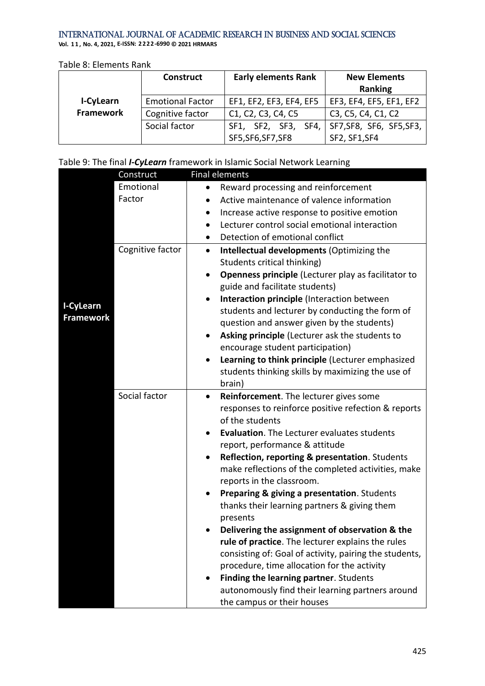**Vol. 1 1 , No. 4, 2021, E-ISSN: 2222-6990 © 2021 HRMARS**

### Table 8: Elements Rank

|           | <b>Construct</b>        | <b>Early elements Rank</b> | <b>New Elements</b>      |
|-----------|-------------------------|----------------------------|--------------------------|
|           |                         |                            | Ranking                  |
| I-CyLearn | <b>Emotional Factor</b> | EF1, EF2, EF3, EF4, EF5    | EF3, EF4, EF5, EF1, EF2  |
| Framework | Cognitive factor        | C1, C2, C3, C4, C5         | C3, C5, C4, C1, C2       |
|           | Social factor           | SF1, SF2, SF3, SF4,        | SF7, SF8, SF6, SF5, SF3, |
|           |                         | SF5, SF6, SF7, SF8         | SF2, SF1, SF4            |

# Table 9: The final *I-CyLearn* framework in Islamic Social Network Learning

|                  | Construct        | <b>Final elements</b>                                                                                      |
|------------------|------------------|------------------------------------------------------------------------------------------------------------|
|                  | Emotional        | Reward processing and reinforcement<br>$\bullet$                                                           |
|                  | Factor           | Active maintenance of valence information                                                                  |
|                  |                  | Increase active response to positive emotion                                                               |
|                  |                  | Lecturer control social emotional interaction<br>$\bullet$                                                 |
|                  |                  | Detection of emotional conflict                                                                            |
|                  | Cognitive factor | Intellectual developments (Optimizing the<br>$\bullet$                                                     |
|                  |                  | Students critical thinking)                                                                                |
|                  |                  | Openness principle (Lecturer play as facilitator to<br>$\bullet$                                           |
|                  |                  | guide and facilitate students)                                                                             |
| I-CyLearn        |                  | Interaction principle (Interaction between<br>$\bullet$                                                    |
| <b>Framework</b> |                  | students and lecturer by conducting the form of                                                            |
|                  |                  | question and answer given by the students)                                                                 |
|                  |                  | Asking principle (Lecturer ask the students to<br>٠                                                        |
|                  |                  | encourage student participation)                                                                           |
|                  |                  | Learning to think principle (Lecturer emphasized                                                           |
|                  |                  | students thinking skills by maximizing the use of                                                          |
|                  | Social factor    | brain)                                                                                                     |
|                  |                  | Reinforcement. The lecturer gives some<br>$\bullet$<br>responses to reinforce positive refection & reports |
|                  |                  | of the students                                                                                            |
|                  |                  | <b>Evaluation.</b> The Lecturer evaluates students                                                         |
|                  |                  | report, performance & attitude                                                                             |
|                  |                  | Reflection, reporting & presentation. Students                                                             |
|                  |                  | make reflections of the completed activities, make                                                         |
|                  |                  | reports in the classroom.                                                                                  |
|                  |                  | <b>Preparing &amp; giving a presentation.</b> Students                                                     |
|                  |                  | thanks their learning partners & giving them                                                               |
|                  |                  | presents                                                                                                   |
|                  |                  | Delivering the assignment of observation & the                                                             |
|                  |                  | rule of practice. The lecturer explains the rules                                                          |
|                  |                  | consisting of: Goal of activity, pairing the students,                                                     |
|                  |                  | procedure, time allocation for the activity                                                                |
|                  |                  | Finding the learning partner. Students                                                                     |
|                  |                  | autonomously find their learning partners around                                                           |
|                  |                  | the campus or their houses                                                                                 |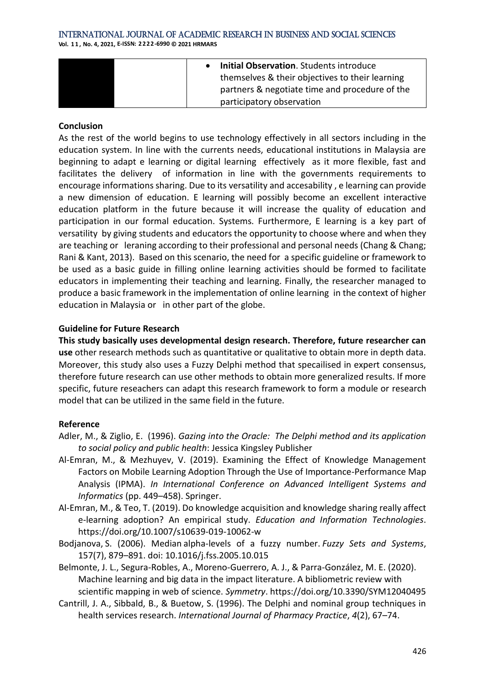#### International Journal of Academic Research in Business and Social Sciences **Vol. 1 1 , No. 4, 2021, E-ISSN: 2222-6990 © 2021 HRMARS**

| <b>Initial Observation.</b> Students introduce  |  |
|-------------------------------------------------|--|
| themselves & their objectives to their learning |  |
| partners & negotiate time and procedure of the  |  |
| participatory observation                       |  |

### **Conclusion**

As the rest of the world begins to use technology effectively in all sectors including in the education system. In line with the currents needs, educational institutions in Malaysia are beginning to adapt e learning or digital learning effectively as it more flexible, fast and facilitates the delivery of information in line with the governments requirements to encourage informations sharing. Due to its versatility and accesability , e learning can provide a new dimension of education. E learning will possibly become an excellent interactive education platform in the future because it will increase the quality of education and participation in our formal education. Systems. Furthermore, E learning is a key part of versatility by giving students and educators the opportunity to choose where and when they are teaching or leraning according to their professional and personal needs (Chang & Chang; Rani & Kant, 2013). Based on this scenario, the need for a specific guideline or framework to be used as a basic guide in filling online learning activities should be formed to facilitate educators in implementing their teaching and learning. Finally, the researcher managed to produce a basic framework in the implementation of online learning in the context of higher education in Malaysia or in other part of the globe.

### **Guideline for Future Research**

**This study basically uses developmental design research. Therefore, future researcher can use** other research methods such as quantitative or qualitative to obtain more in depth data. Moreover, this study also uses a Fuzzy Delphi method that specailised in expert consensus, therefore future research can use other methods to obtain more generalized results. If more specific, future reseachers can adapt this research framework to form a module or research model that can be utilized in the same field in the future.

### **Reference**

- Adler, M., & Ziglio, E. (1996). *Gazing into the Oracle: The Delphi method and its application to social policy and public health*: Jessica Kingsley Publisher
- Al-Emran, M., & Mezhuyev, V. (2019). Examining the Effect of Knowledge Management Factors on Mobile Learning Adoption Through the Use of Importance-Performance Map Analysis (IPMA). *In International Conference on Advanced Intelligent Systems and Informatics* (pp. 449–458). Springer.
- Al-Emran, M., & Teo, T. (2019). Do knowledge acquisition and knowledge sharing really affect e-learning adoption? An empirical study. *Education and Information Technologies*. https://doi.org/10.1007/s10639-019-10062-w
- Bodjanova, S. (2006). Median alpha-levels of a fuzzy number. *Fuzzy Sets and Systems*, 157(7), 879–891. doi: 10.1016/j.fss.2005.10.015
- Belmonte, J. L., Segura-Robles, A., Moreno-Guerrero, A. J., & Parra-González, M. E. (2020). Machine learning and big data in the impact literature. A bibliometric review with scientific mapping in web of science. *Symmetry*. https://doi.org/10.3390/SYM12040495
- Cantrill, J. A., Sibbald, B., & Buetow, S. (1996). The Delphi and nominal group techniques in health services research. *International Journal of Pharmacy Practice*, *4*(2), 67–74.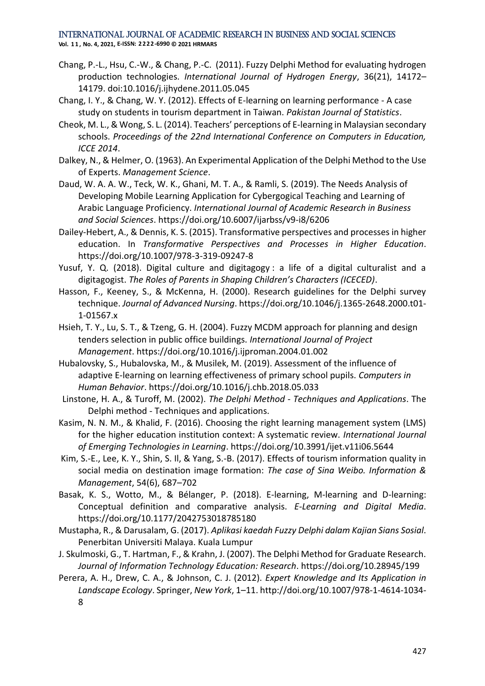- Chang, P.-L., Hsu, C.-W., & Chang, P.-C. (2011). Fuzzy Delphi Method for evaluating hydrogen production technologies. *International Journal of Hydrogen Energy*, 36(21), 14172– 14179. doi:10.1016/j.ijhydene.2011.05.045
- Chang, I. Y., & Chang, W. Y. (2012). Effects of E-learning on learning performance A case study on students in tourism department in Taiwan. *Pakistan Journal of Statistics*.
- Cheok, M. L., & Wong, S. L. (2014). Teachers' perceptions of E-learning in Malaysian secondary schools. *Proceedings of the 22nd International Conference on Computers in Education, ICCE 2014*.
- Dalkey, N., & Helmer, O. (1963). An Experimental Application of the Delphi Method to the Use of Experts. *Management Science*.
- Daud, W. A. A. W., Teck, W. K., Ghani, M. T. A., & Ramli, S. (2019). The Needs Analysis of Developing Mobile Learning Application for Cybergogical Teaching and Learning of Arabic Language Proficiency. *International Journal of Academic Research in Business and Social Sciences*. https://doi.org/10.6007/ijarbss/v9-i8/6206
- Dailey-Hebert, A., & Dennis, K. S. (2015). Transformative perspectives and processes in higher education. In *Transformative Perspectives and Processes in Higher Education*. https://doi.org/10.1007/978-3-319-09247-8
- Yusuf, Y. Q. (2018). Digital culture and digitagogy : a life of a digital culturalist and a digitagogist. *The Roles of Parents in Shaping Children's Characters (ICECED)*.
- Hasson, F., Keeney, S., & McKenna, H. (2000). Research guidelines for the Delphi survey technique. *Journal of Advanced Nursing*. https://doi.org/10.1046/j.1365-2648.2000.t01- 1-01567.x
- Hsieh, T. Y., Lu, S. T., & Tzeng, G. H. (2004). Fuzzy MCDM approach for planning and design tenders selection in public office buildings. *International Journal of Project Management*. https://doi.org/10.1016/j.ijproman.2004.01.002
- Hubalovsky, S., Hubalovska, M., & Musilek, M. (2019). Assessment of the influence of adaptive E-learning on learning effectiveness of primary school pupils. *Computers in Human Behavior*. https://doi.org/10.1016/j.chb.2018.05.033
- Linstone, H. A., & Turoff, M. (2002). *The Delphi Method - Techniques and Applications*. The Delphi method - Techniques and applications.
- Kasim, N. N. M., & Khalid, F. (2016). Choosing the right learning management system (LMS) for the higher education institution context: A systematic review. *International Journal of Emerging Technologies in Learning*. https://doi.org/10.3991/ijet.v11i06.5644
- Kim, S.-E., Lee, K. Y., Shin, S. Il, & Yang, S.-B. (2017). Effects of tourism information quality in social media on destination image formation: *The case of Sina Weibo. Information & Management*, 54(6), 687–702
- Basak, K. S., Wotto, M., & Bélanger, P. (2018). E-learning, M-learning and D-learning: Conceptual definition and comparative analysis. *E-Learning and Digital Media*. https://doi.org/10.1177/2042753018785180
- Mustapha, R., & Darusalam, G. (2017). *Aplikasi kaedah Fuzzy Delphi dalam Kajian Sians Sosial*. Penerbitan Universiti Malaya. Kuala Lumpur
- J. Skulmoski, G., T. Hartman, F., & Krahn, J. (2007). The Delphi Method for Graduate Research. *Journal of Information Technology Education: Research*. https://doi.org/10.28945/199
- Perera, A. H., Drew, C. A., & Johnson, C. J. (2012). *Expert Knowledge and Its Application in Landscape Ecology*. Springer, *New York*, 1–11. http://doi.org/10.1007/978-1-4614-1034- 8